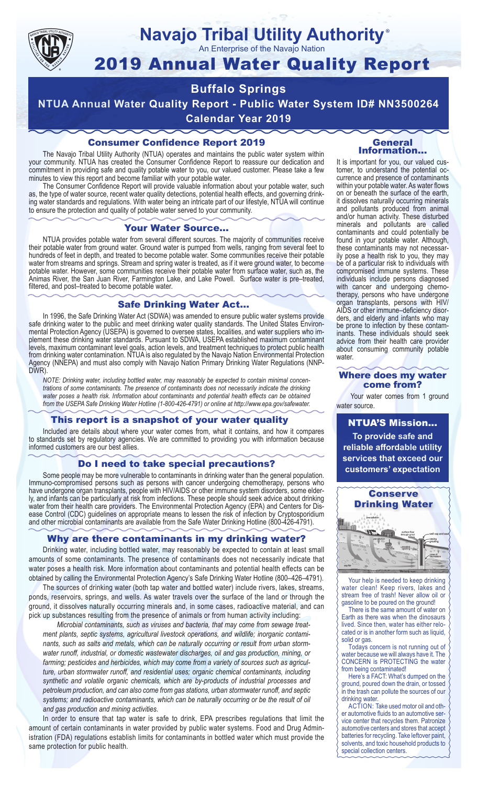

## **Navajo Tribal Utility Authority** ®

An Enterprise of the Navajo Nation

# 2019 Annual Water Quality Report

# **Buffalo Springs**

**NTUA Annual Water Quality Report - Public Water System ID# NN3500264 Calendar Year 2019**

## Consumer Confidence Report 2019

The Navajo Tribal Utility Authority (NTUA) operates and maintains the public water system within your community. NTUA has created the Consumer Confidence Report to reassure our dedication and commitment in providing safe and quality potable water to you, our valued customer. Please take a few minutes to view this report and become familiar with your potable water.

The Consumer Confidence Report will provide valuable information about your potable water, such as, the type of water source, recent water quality detections, potential health effects, and governing drinking water standards and regulations. With water being an intricate part of our lifestyle, NTUA will continue to ensure the protection and quality of potable water served to your community.

#### Your Water Source…

NTUA provides potable water from several different sources. The majority of communities receive their potable water from ground water. Ground water is pumped from wells, ranging from several feet to hundreds of feet in depth, and treated to become potable water. Some communities receive their potable water from streams and springs. Stream and spring water is treated, as if it were ground water, to become potable water. However, some communities receive their potable water from surface water, such as, the Animas River, the San Juan River, Farmington Lake, and Lake Powell. Surface water is pre–treated, filtered, and post–treated to become potable water.

#### Safe Drinking Water Act…

In 1996, the Safe Drinking Water Act (SDWA) was amended to ensure public water systems provide safe drinking water to the public and meet drinking water quality standards. The United States Environmental Protection Agency (USEPA) is governed to oversee states, localities, and water suppliers who implement these drinking water standards. Pursuant to SDWA, USEPA established maximum contaminant levels, maximum contaminant level goals, action levels, and treatment techniques to protect public health from drinking water contamination. NTUA is also regulated by the Navajo Nation Environmental Protection Agency (NNEPA) and must also comply with Navajo Nation Primary Drinking Water Regulations (NNP-DWR)

*NOTE: Drinking water, including bottled water, may reasonably be expected to contain minimal concentrations of some contaminants. The presence of contaminants does not necessarily indicate the drinking water poses a health risk. Information about contaminants and potential health effects can be obtained from the USEPA Safe Drinking Water Hotline (1-800-426-4791) or online at http://www.epa.gov/safewater.*

## This report is a snapshot of your water quality

Included are details about where your water comes from, what it contains, and how it compares to standards set by regulatory agencies. We are committed to providing you with information because informed customers are our best allies.

#### Do I need to take special precautions?

Some people may be more vulnerable to contaminants in drinking water than the general population. Immuno-compromised persons such as persons with cancer undergoing chemotherapy, persons who have undergone organ transplants, people with HIV/AIDS or other immune system disorders, some elderly, and infants can be particularly at risk from infections. These people should seek advice about drinking water from their health care providers. The Environmental Protection Agency (EPA) and Centers for Disease Control (CDC) guidelines on appropriate means to lessen the risk of infection by Cryptosporidium and other microbial contaminants are available from the Safe Water Drinking Hotline (800-426-4791).

## Why are there contaminants in my drinking water?

Drinking water, including bottled water, may reasonably be expected to contain at least small amounts of some contaminants. The presence of contaminants does not necessarily indicate that water poses a health risk. More information about contaminants and potential health effects can be obtained by calling the Environmental Protection Agency's Safe Drinking Water Hotline (800–426–4791).

The sources of drinking water (both tap water and bottled water) include rivers, lakes, streams, ponds, reservoirs, springs, and wells. As water travels over the surface of the land or through the ground, it dissolves naturally occurring minerals and, in some cases, radioactive material, and can pick up substances resulting from the presence of animals or from human activity including:

*Microbial contaminants, such as viruses and bacteria, that may come from sewage treatment plants, septic systems, agricultural livestock operations, and wildlife; inorganic contaminants, such as salts and metals, which can be naturally occurring or result from urban stormwater runoff, industrial, or domestic wastewater discharges, oil and gas production, mining, or farming; pesticides and herbicides, which may come from a variety of sources such as agriculture, urban stormwater runoff, and residential uses; organic chemical contaminants, including synthetic and volatile organic chemicals, which are by-products of industrial processes and petroleum production, and can also come from gas stations, urban stormwater runoff, and septic systems; and radioactive contaminants, which can be naturally occurring or be the result of oil and gas production and mining activities.*

In order to ensure that tap water is safe to drink, EPA prescribes regulations that limit the amount of certain contaminants in water provided by public water systems. Food and Drug Administration (FDA) regulations establish limits for contaminants in bottled water which must provide the same protection for public health.

#### General Information…

It is important for you, our valued customer, to understand the potential occurrence and presence of contaminants within your potable water. As water flows on or beneath the surface of the earth, it dissolves naturally occurring minerals and pollutants produced from animal and/or human activity. These disturbed minerals and pollutants are called contaminants and could potentially be found in your potable water. Although, these contaminants may not necessarily pose a health risk to you, they may be of a particular risk to individuals with compromised immune systems. These individuals include persons diagnosed with cancer and undergoing chemo-<br>therapy, persons who have undergone organ transplants, persons with HIV/ AIDS or other immune–deficiency disor- ders, and elderly and infants who may be prone to infection by these contam- inants. These individuals should seek advice from their health care provider about consuming community potable water.

#### Where does my water come from?

Your water comes from 1 ground water source.

NTUA'S Mission... **To provide safe and reliable affordable utility services that exceed our customers' expectation**



Your help is needed to keep drinking water clean! Keep rivers, lakes and stream free of trash! Never allow oil or gasoline to be poured on the ground!

There is the same amount of water on Earth as there was when the dinosaurs lived. Since then, water has either relocated or is in another form such as liquid, solid or gas.

Todays concern is not running out of water because we will always have it. The CONCERN is PROTECTING the water from being contaminated!

Here's a FACT: What's dumped on the ground, poured down the drain, or tossed in the trash can pollute the sources of our drinking water.

ACTION: Take used motor oil and other automotive fluids to an automotive service center that recycles them. Patronize automotive centers and stores that accept batteries for recycling. Take leftover paint, solvents, and toxic household products to special collection centers.